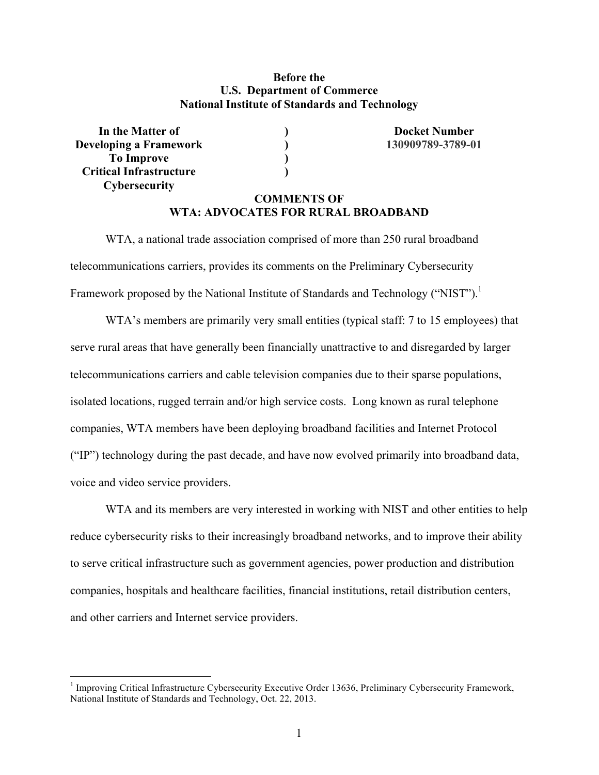## **Before the U.S. Department of Commerce National Institute of Standards and Technology**

**In the Matter of**  (*I*) **Docket Number Docket Number Developing a Framework ) 130909789-3789-01 To Improve ) Critical Infrastructure ) Cybersecurity** 

 $\overline{a}$ 

# **COMMENTS OF WTA: ADVOCATES FOR RURAL BROADBAND**

Framework proposed by the National Institute of Standards and Technology ("NIST").<sup>1</sup> WTA, a national trade association comprised of more than 250 rural broadband telecommunications carriers, provides its comments on the Preliminary Cybersecurity

 serve rural areas that have generally been financially unattractive to and disregarded by larger telecommunications carriers and cable television companies due to their sparse populations, isolated locations, rugged terrain and/or high service costs. Long known as rural telephone companies, WTA members have been deploying broadband facilities and Internet Protocol ("IP") technology during the past decade, and have now evolved primarily into broadband data, WTA's members are primarily very small entities (typical staff: 7 to 15 employees) that voice and video service providers.

WTA and its members are very interested in working with NIST and other entities to help reduce cybersecurity risks to their increasingly broadband networks, and to improve their ability to serve critical infrastructure such as government agencies, power production and distribution companies, hospitals and healthcare facilities, financial institutions, retail distribution centers, and other carriers and Internet service providers.

 National Institute of Standards and Technology, Oct. 22, 2013. <sup>1</sup> Improving Critical Infrastructure Cybersecurity Executive Order 13636, Preliminary Cybersecurity Framework,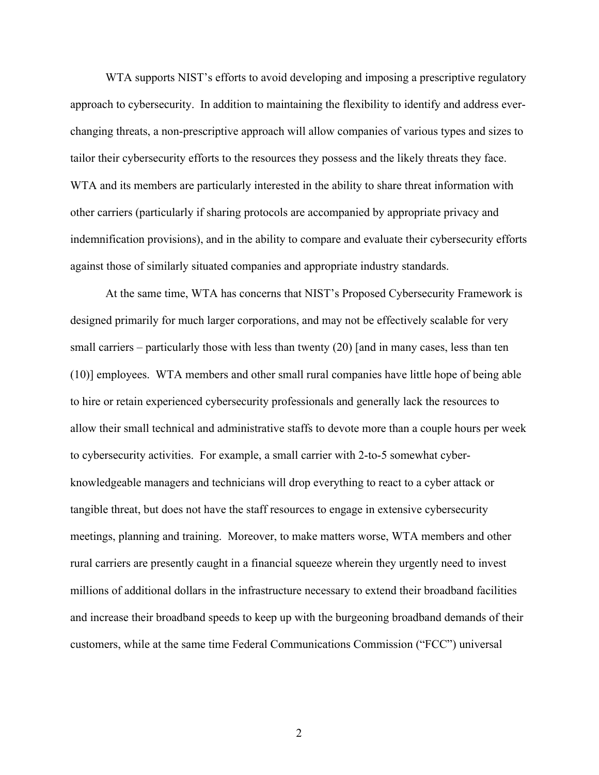WTA supports NIST's efforts to avoid developing and imposing a prescriptive regulatory approach to cybersecurity. In addition to maintaining the flexibility to identify and address everchanging threats, a non-prescriptive approach will allow companies of various types and sizes to tailor their cybersecurity efforts to the resources they possess and the likely threats they face. WTA and its members are particularly interested in the ability to share threat information with other carriers (particularly if sharing protocols are accompanied by appropriate privacy and indemnification provisions), and in the ability to compare and evaluate their cybersecurity efforts against those of similarly situated companies and appropriate industry standards.

 small carriers – particularly those with less than twenty (20) [and in many cases, less than ten to hire or retain experienced cybersecurity professionals and generally lack the resources to allow their small technical and administrative staffs to devote more than a couple hours per week At the same time, WTA has concerns that NIST's Proposed Cybersecurity Framework is designed primarily for much larger corporations, and may not be effectively scalable for very (10)] employees. WTA members and other small rural companies have little hope of being able to cybersecurity activities. For example, a small carrier with 2-to-5 somewhat cyberknowledgeable managers and technicians will drop everything to react to a cyber attack or tangible threat, but does not have the staff resources to engage in extensive cybersecurity meetings, planning and training. Moreover, to make matters worse, WTA members and other rural carriers are presently caught in a financial squeeze wherein they urgently need to invest millions of additional dollars in the infrastructure necessary to extend their broadband facilities and increase their broadband speeds to keep up with the burgeoning broadband demands of their customers, while at the same time Federal Communications Commission ("FCC") universal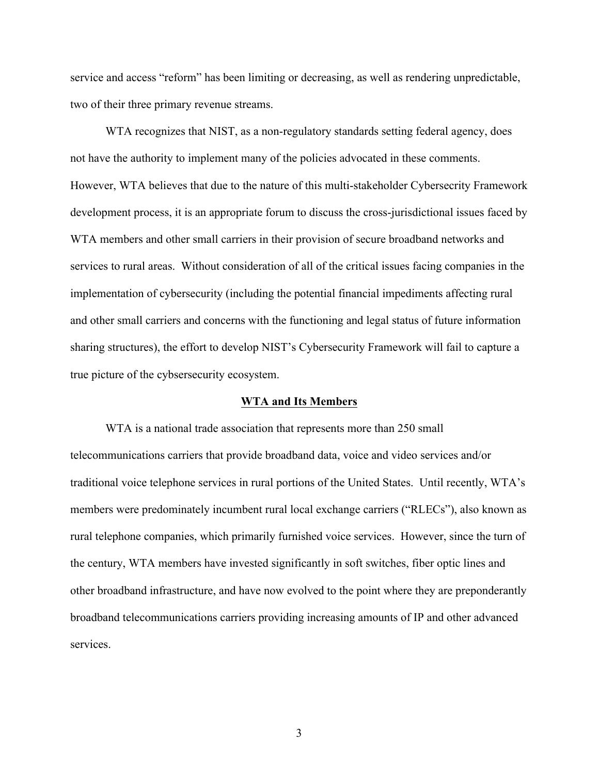two of their three primary revenue streams. service and access "reform" has been limiting or decreasing, as well as rendering unpredictable,

 WTA members and other small carriers in their provision of secure broadband networks and services to rural areas. Without consideration of all of the critical issues facing companies in the implementation of cybersecurity (including the potential financial impediments affecting rural and other small carriers and concerns with the functioning and legal status of future information WTA recognizes that NIST, as a non-regulatory standards setting federal agency, does not have the authority to implement many of the policies advocated in these comments. However, WTA believes that due to the nature of this multi-stakeholder Cybersecrity Framework development process, it is an appropriate forum to discuss the cross-jurisdictional issues faced by sharing structures), the effort to develop NIST's Cybersecurity Framework will fail to capture a true picture of the cybsersecurity ecosystem.

## **WTA and Its Members**

WTA is a national trade association that represents more than 250 small telecommunications carriers that provide broadband data, voice and video services and/or traditional voice telephone services in rural portions of the United States. Until recently, WTA's members were predominately incumbent rural local exchange carriers ("RLECs"), also known as rural telephone companies, which primarily furnished voice services. However, since the turn of the century, WTA members have invested significantly in soft switches, fiber optic lines and other broadband infrastructure, and have now evolved to the point where they are preponderantly broadband telecommunications carriers providing increasing amounts of IP and other advanced services.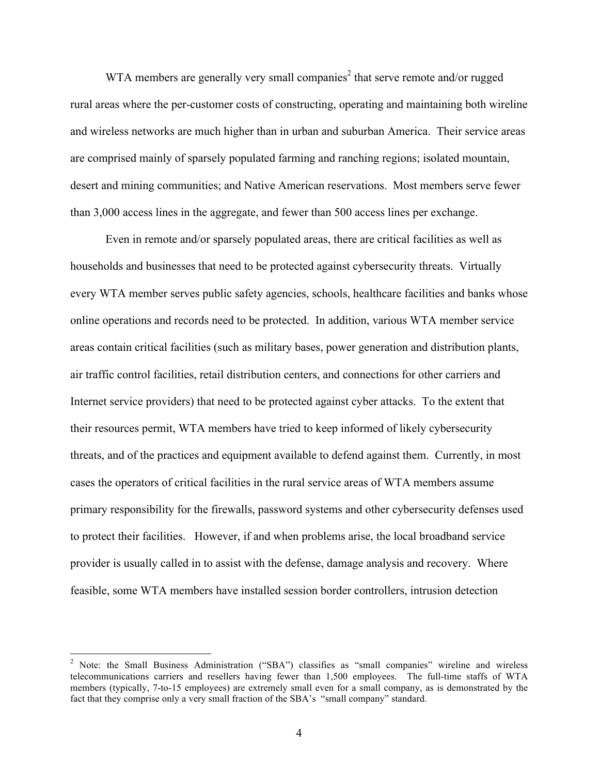are comprised mainly of sparsely populated farming and ranching regions; isolated mountain, WTA members are generally very small companies<sup>2</sup> that serve remote and/or rugged rural areas where the per-customer costs of constructing, operating and maintaining both wireline and wireless networks are much higher than in urban and suburban America. Their service areas desert and mining communities; and Native American reservations. Most members serve fewer than 3,000 access lines in the aggregate, and fewer than 500 access lines per exchange.

 every WTA member serves public safety agencies, schools, healthcare facilities and banks whose Even in remote and/or sparsely populated areas, there are critical facilities as well as households and businesses that need to be protected against cybersecurity threats. Virtually online operations and records need to be protected. In addition, various WTA member service areas contain critical facilities (such as military bases, power generation and distribution plants, air traffic control facilities, retail distribution centers, and connections for other carriers and Internet service providers) that need to be protected against cyber attacks. To the extent that their resources permit, WTA members have tried to keep informed of likely cybersecurity threats, and of the practices and equipment available to defend against them. Currently, in most cases the operators of critical facilities in the rural service areas of WTA members assume primary responsibility for the firewalls, password systems and other cybersecurity defenses used to protect their facilities. However, if and when problems arise, the local broadband service provider is usually called in to assist with the defense, damage analysis and recovery. Where feasible, some WTA members have installed session border controllers, intrusion detection

 telecommunications carriers and resellers having fewer than 1,500 employees. The full-time staffs of WTA members (typically, 7-to-15 employees) are extremely small even for a small company, as is demonstrated by the fact that they comprise only a very small fraction of the SBA's "small company" standard. <sup>2</sup> Note: the Small Business Administration ("SBA") classifies as "small companies" wireline and wireless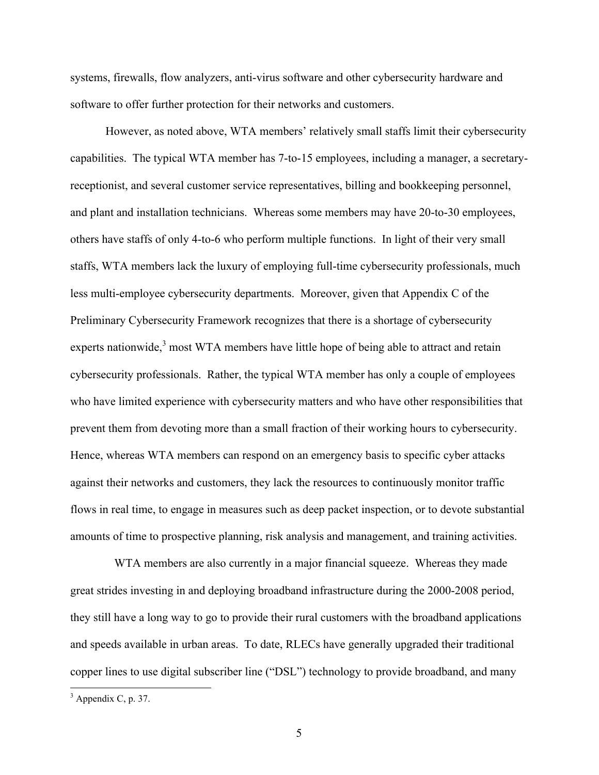systems, firewalls, flow analyzers, anti-virus software and other cybersecurity hardware and software to offer further protection for their networks and customers.

 capabilities. The typical WTA member has 7-to-15 employees, including a manager, a secretary- Hence, whereas WTA members can respond on an emergency basis to specific cyber attacks However, as noted above, WTA members' relatively small staffs limit their cybersecurity receptionist, and several customer service representatives, billing and bookkeeping personnel, and plant and installation technicians. Whereas some members may have 20-to-30 employees, others have staffs of only 4-to-6 who perform multiple functions. In light of their very small staffs, WTA members lack the luxury of employing full-time cybersecurity professionals, much less multi-employee cybersecurity departments. Moreover, given that Appendix C of the Preliminary Cybersecurity Framework recognizes that there is a shortage of cybersecurity experts nationwide,<sup>3</sup> most WTA members have little hope of being able to attract and retain cybersecurity professionals. Rather, the typical WTA member has only a couple of employees who have limited experience with cybersecurity matters and who have other responsibilities that prevent them from devoting more than a small fraction of their working hours to cybersecurity. against their networks and customers, they lack the resources to continuously monitor traffic flows in real time, to engage in measures such as deep packet inspection, or to devote substantial amounts of time to prospective planning, risk analysis and management, and training activities.

 and speeds available in urban areas. To date, RLECs have generally upgraded their traditional copper lines to use digital subscriber line ("DSL") technology to provide broadband, and many WTA members are also currently in a major financial squeeze. Whereas they made great strides investing in and deploying broadband infrastructure during the 2000-2008 period, they still have a long way to go to provide their rural customers with the broadband applications

 $3$  Appendix C, p. 37.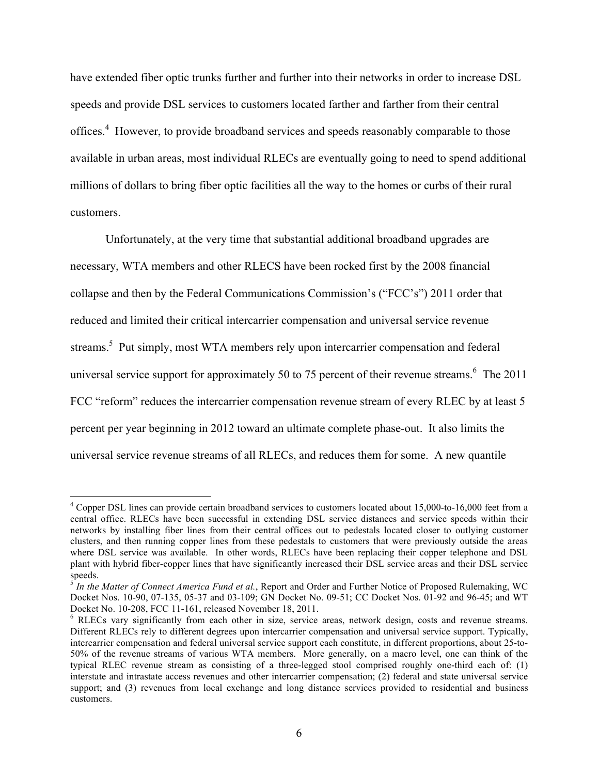offices.<sup>4</sup> However, to provide broadband services and speeds reasonably comparable to those have extended fiber optic trunks further and further into their networks in order to increase DSL speeds and provide DSL services to customers located farther and farther from their central available in urban areas, most individual RLECs are eventually going to need to spend additional millions of dollars to bring fiber optic facilities all the way to the homes or curbs of their rural customers.

 reduced and limited their critical intercarrier compensation and universal service revenue streams.<sup>5</sup> Put simply, most WTA members rely upon intercarrier compensation and federal universal service support for approximately 50 to 75 percent of their revenue streams.<sup>6</sup> The 2011 percent per year beginning in 2012 toward an ultimate complete phase-out. It also limits the Unfortunately, at the very time that substantial additional broadband upgrades are necessary, WTA members and other RLECS have been rocked first by the 2008 financial collapse and then by the Federal Communications Commission's ("FCC's") 2011 order that FCC "reform" reduces the intercarrier compensation revenue stream of every RLEC by at least 5 universal service revenue streams of all RLECs, and reduces them for some. A new quantile

 $4$  Copper DSL lines can provide certain broadband services to customers located about 15,000-to-16,000 feet from a central office. RLECs have been successful in extending DSL service distances and service speeds within their networks by installing fiber lines from their central offices out to pedestals located closer to outlying customer clusters, and then running copper lines from these pedestals to customers that were previously outside the areas where DSL service was available. In other words, RLECs have been replacing their copper telephone and DSL plant with hybrid fiber-copper lines that have significantly increased their DSL service areas and their DSL service speeds.

 Docket Nos. 10-90, 07-135, 05-37 and 03-109; GN Docket No. 09-51; CC Docket Nos. 01-92 and 96-45; and WT Docket No. 10-208, FCC 11-161, released November 18, 2011. Docket No. 10-208, FCC 11-161, released November 18, 2011.<br><sup>6</sup> RLECs vary significantly from each other in size, service areas, network design, costs and revenue streams. <sup>5</sup>*In the Matter of Connect America Fund et al.*, Report and Order and Further Notice of Proposed Rulemaking, WC

 Different RLECs rely to different degrees upon intercarrier compensation and universal service support. Typically, intercarrier compensation and federal universal service support each constitute, in different proportions, about 25-to- 50% of the revenue streams of various WTA members. More generally, on a macro level, one can think of the typical RLEC revenue stream as consisting of a three-legged stool comprised roughly one-third each of: (1) interstate and intrastate access revenues and other intercarrier compensation; (2) federal and state universal service support; and (3) revenues from local exchange and long distance services provided to residential and business customers.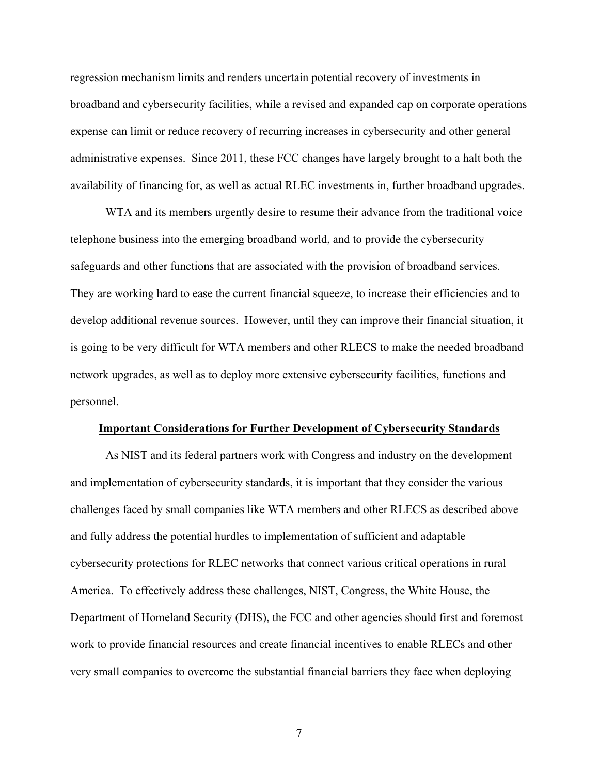administrative expenses. Since 2011, these FCC changes have largely brought to a halt both the regression mechanism limits and renders uncertain potential recovery of investments in broadband and cybersecurity facilities, while a revised and expanded cap on corporate operations expense can limit or reduce recovery of recurring increases in cybersecurity and other general availability of financing for, as well as actual RLEC investments in, further broadband upgrades.

 safeguards and other functions that are associated with the provision of broadband services. WTA and its members urgently desire to resume their advance from the traditional voice telephone business into the emerging broadband world, and to provide the cybersecurity They are working hard to ease the current financial squeeze, to increase their efficiencies and to develop additional revenue sources. However, until they can improve their financial situation, it is going to be very difficult for WTA members and other RLECS to make the needed broadband network upgrades, as well as to deploy more extensive cybersecurity facilities, functions and personnel.

### **Important Considerations for Further Development of Cybersecurity Standards**

 and implementation of cybersecurity standards, it is important that they consider the various challenges faced by small companies like WTA members and other RLECS as described above cybersecurity protections for RLEC networks that connect various critical operations in rural Department of Homeland Security (DHS), the FCC and other agencies should first and foremost work to provide financial resources and create financial incentives to enable RLECs and other very small companies to overcome the substantial financial barriers they face when deploying As NIST and its federal partners work with Congress and industry on the development and fully address the potential hurdles to implementation of sufficient and adaptable America. To effectively address these challenges, NIST, Congress, the White House, the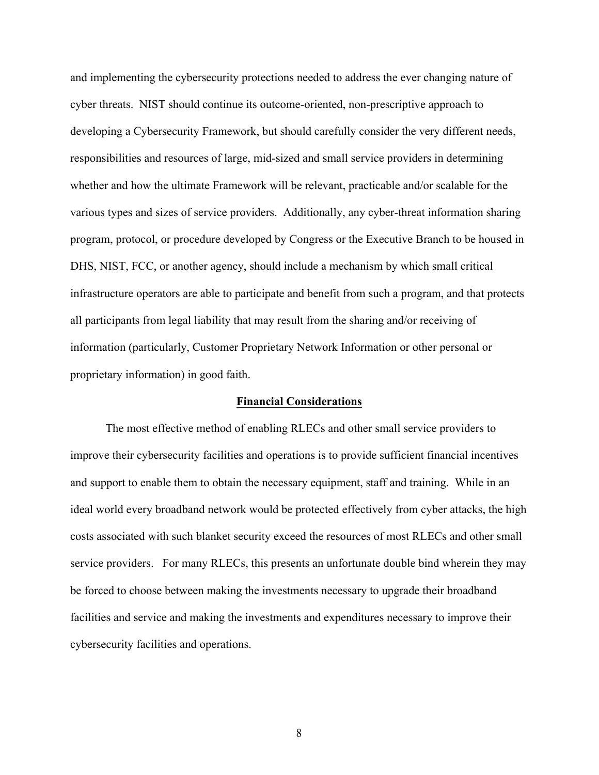and implementing the cybersecurity protections needed to address the ever changing nature of whether and how the ultimate Framework will be relevant, practicable and/or scalable for the DHS, NIST, FCC, or another agency, should include a mechanism by which small critical all participants from legal liability that may result from the sharing and/or receiving of cyber threats. NIST should continue its outcome-oriented, non-prescriptive approach to developing a Cybersecurity Framework, but should carefully consider the very different needs, responsibilities and resources of large, mid-sized and small service providers in determining various types and sizes of service providers. Additionally, any cyber-threat information sharing program, protocol, or procedure developed by Congress or the Executive Branch to be housed in infrastructure operators are able to participate and benefit from such a program, and that protects information (particularly, Customer Proprietary Network Information or other personal or proprietary information) in good faith.

## **Financial Considerations**

 The most effective method of enabling RLECs and other small service providers to improve their cybersecurity facilities and operations is to provide sufficient financial incentives and support to enable them to obtain the necessary equipment, staff and training. While in an costs associated with such blanket security exceed the resources of most RLECs and other small service providers. For many RLECs, this presents an unfortunate double bind wherein they may ideal world every broadband network would be protected effectively from cyber attacks, the high be forced to choose between making the investments necessary to upgrade their broadband facilities and service and making the investments and expenditures necessary to improve their cybersecurity facilities and operations.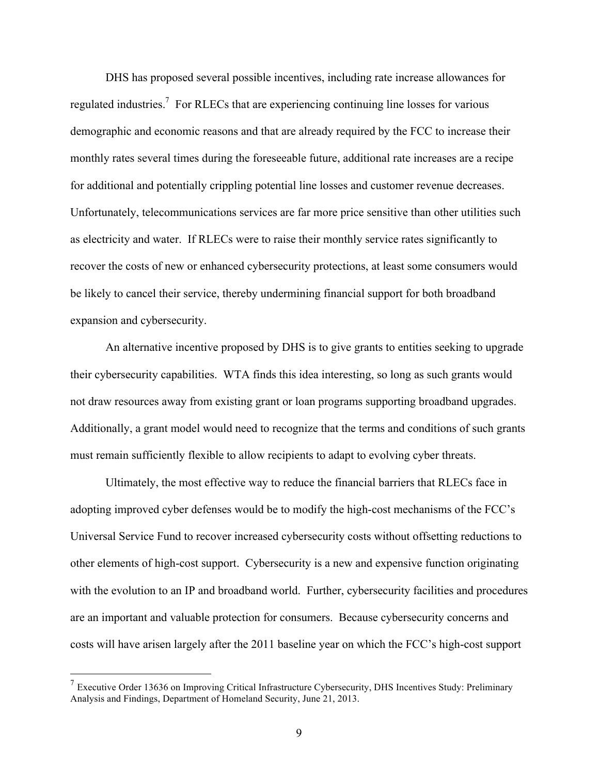regulated industries.<sup>7</sup> For RLECs that are experiencing continuing line losses for various Unfortunately, telecommunications services are far more price sensitive than other utilities such recover the costs of new or enhanced cybersecurity protections, at least some consumers would be likely to cancel their service, thereby undermining financial support for both broadband DHS has proposed several possible incentives, including rate increase allowances for demographic and economic reasons and that are already required by the FCC to increase their monthly rates several times during the foreseeable future, additional rate increases are a recipe for additional and potentially crippling potential line losses and customer revenue decreases. as electricity and water. If RLECs were to raise their monthly service rates significantly to expansion and cybersecurity.

 their cybersecurity capabilities. WTA finds this idea interesting, so long as such grants would not draw resources away from existing grant or loan programs supporting broadband upgrades. Additionally, a grant model would need to recognize that the terms and conditions of such grants An alternative incentive proposed by DHS is to give grants to entities seeking to upgrade must remain sufficiently flexible to allow recipients to adapt to evolving cyber threats.

 Ultimately, the most effective way to reduce the financial barriers that RLECs face in adopting improved cyber defenses would be to modify the high-cost mechanisms of the FCC's Universal Service Fund to recover increased cybersecurity costs without offsetting reductions to other elements of high-cost support. Cybersecurity is a new and expensive function originating with the evolution to an IP and broadband world. Further, cybersecurity facilities and procedures are an important and valuable protection for consumers. Because cybersecurity concerns and costs will have arisen largely after the 2011 baseline year on which the FCC's high-cost support

 $7$  Executive Order 13636 on Improving Critical Infrastructure Cybersecurity, DHS Incentives Study: Preliminary Analysis and Findings, Department of Homeland Security, June 21, 2013.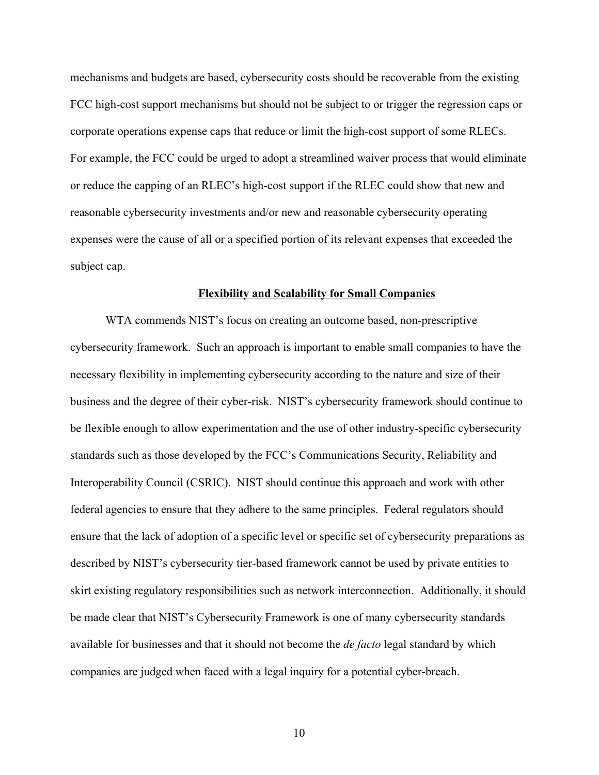mechanisms and budgets are based, cybersecurity costs should be recoverable from the existing FCC high-cost support mechanisms but should not be subject to or trigger the regression caps or corporate operations expense caps that reduce or limit the high-cost support of some RLECs. For example, the FCC could be urged to adopt a streamlined waiver process that would eliminate or reduce the capping of an RLEC's high-cost support if the RLEC could show that new and reasonable cybersecurity investments and/or new and reasonable cybersecurity operating expenses were the cause of all or a specified portion of its relevant expenses that exceeded the subject cap.

#### **Flexibility and Scalability for Small Companies**

 WTA commends NIST's focus on creating an outcome based, non-prescriptive skirt existing regulatory responsibilities such as network interconnection. Additionally, it should available for businesses and that it should not become the *de facto* legal standard by which cybersecurity framework. Such an approach is important to enable small companies to have the necessary flexibility in implementing cybersecurity according to the nature and size of their business and the degree of their cyber-risk. NIST's cybersecurity framework should continue to be flexible enough to allow experimentation and the use of other industry-specific cybersecurity standards such as those developed by the FCC's Communications Security, Reliability and Interoperability Council (CSRIC). NIST should continue this approach and work with other federal agencies to ensure that they adhere to the same principles. Federal regulators should ensure that the lack of adoption of a specific level or specific set of cybersecurity preparations as described by NIST's cybersecurity tier-based framework cannot be used by private entities to be made clear that NIST's Cybersecurity Framework is one of many cybersecurity standards companies are judged when faced with a legal inquiry for a potential cyber-breach.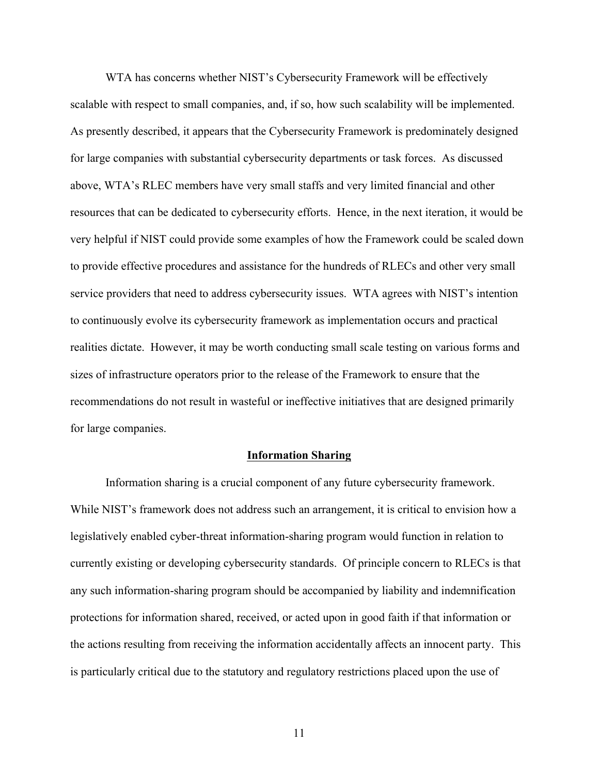service providers that need to address cybersecurity issues. WTA agrees with NIST's intention sizes of infrastructure operators prior to the release of the Framework to ensure that the WTA has concerns whether NIST's Cybersecurity Framework will be effectively scalable with respect to small companies, and, if so, how such scalability will be implemented. As presently described, it appears that the Cybersecurity Framework is predominately designed for large companies with substantial cybersecurity departments or task forces. As discussed above, WTA's RLEC members have very small staffs and very limited financial and other resources that can be dedicated to cybersecurity efforts. Hence, in the next iteration, it would be very helpful if NIST could provide some examples of how the Framework could be scaled down to provide effective procedures and assistance for the hundreds of RLECs and other very small to continuously evolve its cybersecurity framework as implementation occurs and practical realities dictate. However, it may be worth conducting small scale testing on various forms and recommendations do not result in wasteful or ineffective initiatives that are designed primarily for large companies.

### **Information Sharing**

 any such information-sharing program should be accompanied by liability and indemnification Information sharing is a crucial component of any future cybersecurity framework. While NIST's framework does not address such an arrangement, it is critical to envision how a legislatively enabled cyber-threat information-sharing program would function in relation to currently existing or developing cybersecurity standards. Of principle concern to RLECs is that protections for information shared, received, or acted upon in good faith if that information or the actions resulting from receiving the information accidentally affects an innocent party. This is particularly critical due to the statutory and regulatory restrictions placed upon the use of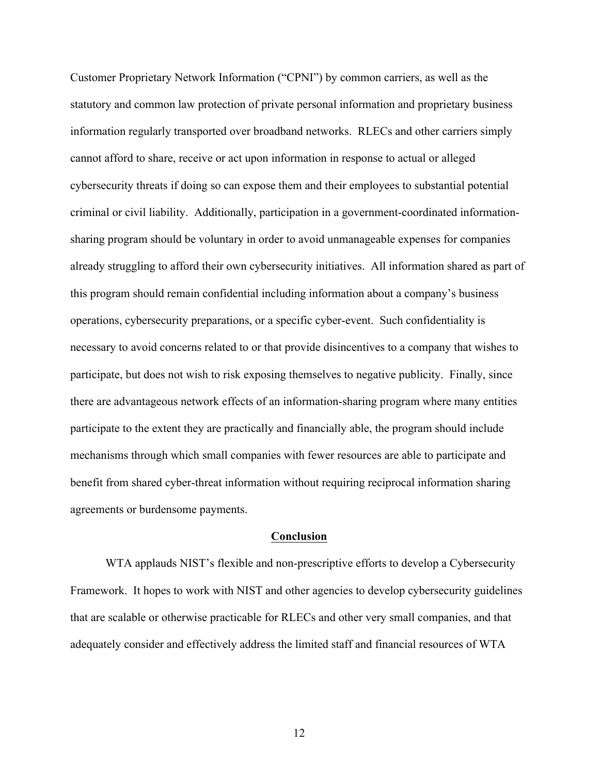sharing program should be voluntary in order to avoid unmanageable expenses for companies necessary to avoid concerns related to or that provide disincentives to a company that wishes to mechanisms through which small companies with fewer resources are able to participate and Customer Proprietary Network Information ("CPNI") by common carriers, as well as the statutory and common law protection of private personal information and proprietary business information regularly transported over broadband networks. RLECs and other carriers simply cannot afford to share, receive or act upon information in response to actual or alleged cybersecurity threats if doing so can expose them and their employees to substantial potential criminal or civil liability. Additionally, participation in a government-coordinated informationalready struggling to afford their own cybersecurity initiatives. All information shared as part of this program should remain confidential including information about a company's business operations, cybersecurity preparations, or a specific cyber-event. Such confidentiality is participate, but does not wish to risk exposing themselves to negative publicity. Finally, since there are advantageous network effects of an information-sharing program where many entities participate to the extent they are practically and financially able, the program should include benefit from shared cyber-threat information without requiring reciprocal information sharing agreements or burdensome payments.

#### **Conclusion**

 Framework. It hopes to work with NIST and other agencies to develop cybersecurity guidelines WTA applauds NIST's flexible and non-prescriptive efforts to develop a Cybersecurity that are scalable or otherwise practicable for RLECs and other very small companies, and that adequately consider and effectively address the limited staff and financial resources of WTA